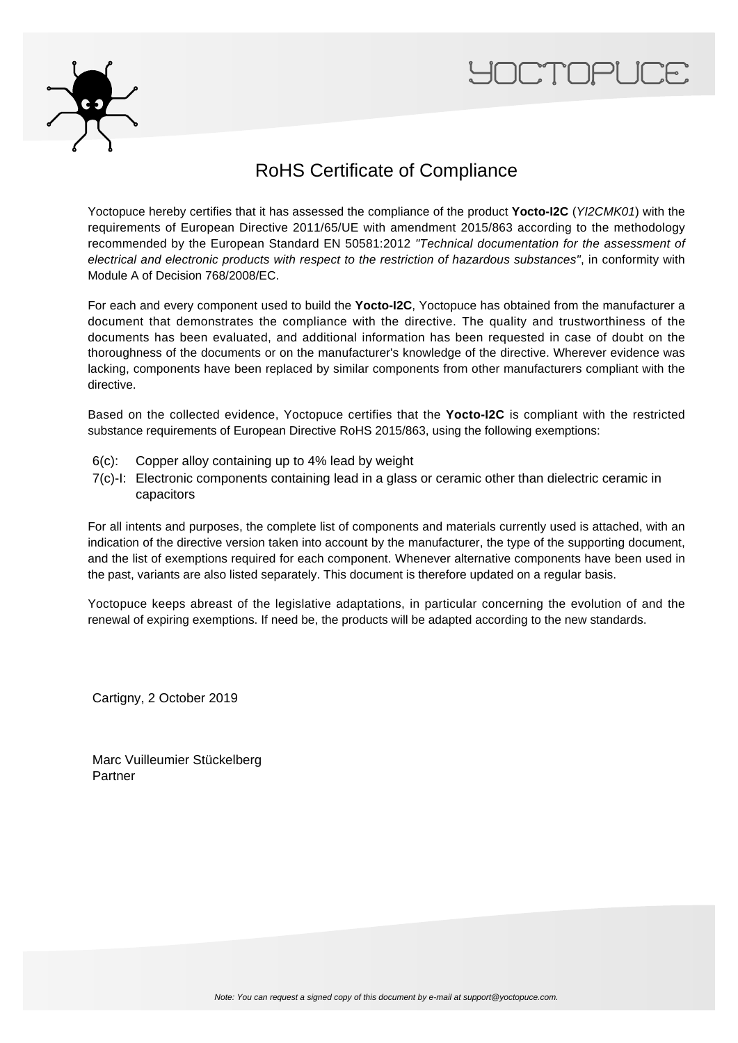



### RoHS Certificate of Compliance

Yoctopuce hereby certifies that it has assessed the compliance of the product **Yocto-I2C** (YI2CMK01) with the requirements of European Directive 2011/65/UE with amendment 2015/863 according to the methodology recommended by the European Standard EN 50581:2012 "Technical documentation for the assessment of electrical and electronic products with respect to the restriction of hazardous substances", in conformity with Module A of Decision 768/2008/EC.

For each and every component used to build the **Yocto-I2C**, Yoctopuce has obtained from the manufacturer a document that demonstrates the compliance with the directive. The quality and trustworthiness of the documents has been evaluated, and additional information has been requested in case of doubt on the thoroughness of the documents or on the manufacturer's knowledge of the directive. Wherever evidence was lacking, components have been replaced by similar components from other manufacturers compliant with the directive.

Based on the collected evidence, Yoctopuce certifies that the **Yocto-I2C** is compliant with the restricted substance requirements of European Directive RoHS 2015/863, using the following exemptions:

- 6(c): Copper alloy containing up to 4% lead by weight
- 7(c)-I: Electronic components containing lead in a glass or ceramic other than dielectric ceramic in capacitors

For all intents and purposes, the complete list of components and materials currently used is attached, with an indication of the directive version taken into account by the manufacturer, the type of the supporting document, and the list of exemptions required for each component. Whenever alternative components have been used in the past, variants are also listed separately. This document is therefore updated on a regular basis.

Yoctopuce keeps abreast of the legislative adaptations, in particular concerning the evolution of and the renewal of expiring exemptions. If need be, the products will be adapted according to the new standards.

Cartigny, 2 October 2019

Marc Vuilleumier Stückelberg Partner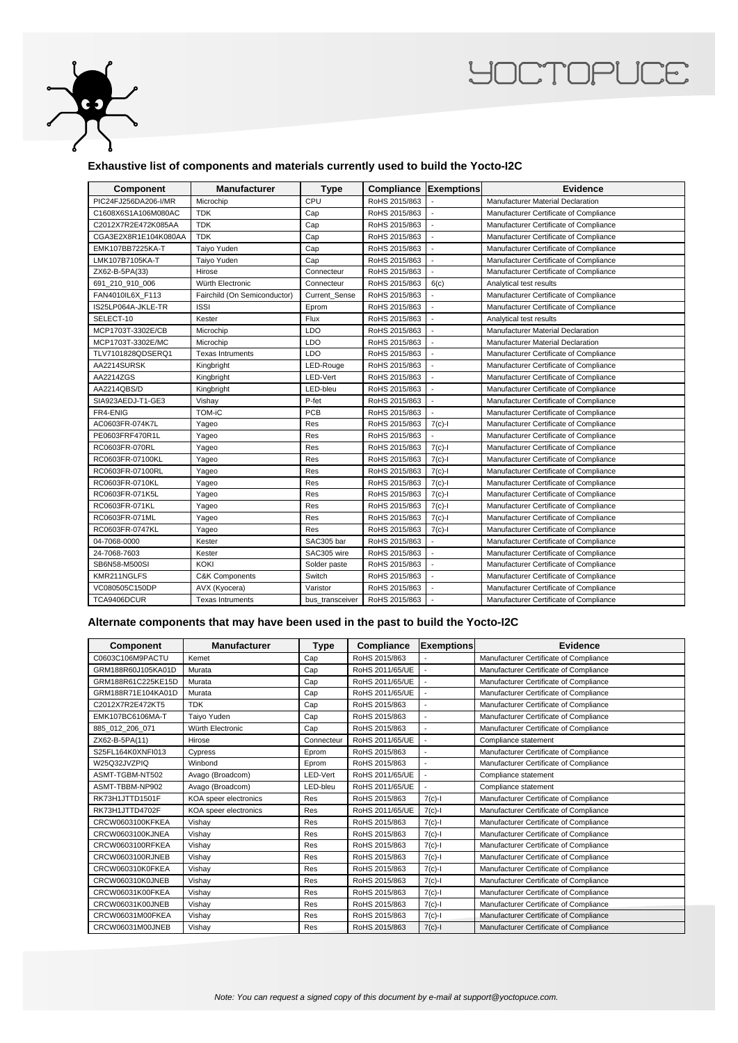

## **YOCTOPUCE**

#### **Exhaustive list of components and materials currently used to build the Yocto-I2C**

| Component            | <b>Manufacturer</b>          | <b>Type</b>     | Compliance    | Exemptions     | Evidence                                 |
|----------------------|------------------------------|-----------------|---------------|----------------|------------------------------------------|
| PIC24FJ256DA206-I/MR | Microchip                    | CPU             | RoHS 2015/863 |                | Manufacturer Material Declaration        |
| C1608X6S1A106M080AC  | <b>TDK</b>                   | Cap             | RoHS 2015/863 | $\overline{a}$ | Manufacturer Certificate of Compliance   |
| C2012X7R2E472K085AA  | <b>TDK</b>                   | Cap             | RoHS 2015/863 | $\overline{a}$ | Manufacturer Certificate of Compliance   |
| CGA3E2X8R1E104K080AA | <b>TDK</b>                   | Cap             | RoHS 2015/863 | $\overline{a}$ | Manufacturer Certificate of Compliance   |
| EMK107BB7225KA-T     | Taiyo Yuden                  | Cap             | RoHS 2015/863 | $\overline{a}$ | Manufacturer Certificate of Compliance   |
| LMK107B7105KA-T      | Taiyo Yuden                  | Cap             | RoHS 2015/863 | $\overline{a}$ | Manufacturer Certificate of Compliance   |
| ZX62-B-5PA(33)       | Hirose                       | Connecteur      | RoHS 2015/863 |                | Manufacturer Certificate of Compliance   |
| 691 210 910 006      | Würth Electronic             | Connecteur      | RoHS 2015/863 | 6(c)           | Analytical test results                  |
| FAN4010IL6X F113     | Fairchild (On Semiconductor) | Current Sense   | RoHS 2015/863 |                | Manufacturer Certificate of Compliance   |
| IS25LP064A-JKLE-TR   | <b>ISSI</b>                  | Eprom           | RoHS 2015/863 | ÷,             | Manufacturer Certificate of Compliance   |
| SELECT-10            | Kester                       | Flux            | RoHS 2015/863 | $\overline{a}$ | Analytical test results                  |
| MCP1703T-3302E/CB    | Microchip                    | LDO             | RoHS 2015/863 |                | <b>Manufacturer Material Declaration</b> |
| MCP1703T-3302E/MC    | Microchip                    | <b>LDO</b>      | RoHS 2015/863 |                | Manufacturer Material Declaration        |
| TLV7101828QDSERQ1    | <b>Texas Intruments</b>      | LDO             | RoHS 2015/863 |                | Manufacturer Certificate of Compliance   |
| AA2214SURSK          | Kingbright                   | LED-Rouge       | RoHS 2015/863 |                | Manufacturer Certificate of Compliance   |
| AA2214ZGS            | Kingbright                   | LED-Vert        | RoHS 2015/863 |                | Manufacturer Certificate of Compliance   |
| AA2214QBS/D          | Kingbright                   | LED-bleu        | RoHS 2015/863 |                | Manufacturer Certificate of Compliance   |
| SIA923AEDJ-T1-GE3    | Vishay                       | P-fet           | RoHS 2015/863 | $\overline{a}$ | Manufacturer Certificate of Compliance   |
| FR4-ENIG             | TOM-iC                       | <b>PCB</b>      | RoHS 2015/863 | $\overline{a}$ | Manufacturer Certificate of Compliance   |
| AC0603FR-074K7L      | Yageo                        | Res             | RoHS 2015/863 | $7(c)-1$       | Manufacturer Certificate of Compliance   |
| PE0603FRF470R1L      | Yageo                        | Res             | RoHS 2015/863 |                | Manufacturer Certificate of Compliance   |
| RC0603FR-070RL       | Yageo                        | Res             | RoHS 2015/863 | $7(c)-1$       | Manufacturer Certificate of Compliance   |
| RC0603FR-07100KL     | Yageo                        | Res             | RoHS 2015/863 | $7(c)-1$       | Manufacturer Certificate of Compliance   |
| RC0603FR-07100RL     | Yageo                        | Res             | RoHS 2015/863 | $7(c)-1$       | Manufacturer Certificate of Compliance   |
| RC0603FR-0710KL      | Yageo                        | Res             | RoHS 2015/863 | $7(c)-1$       | Manufacturer Certificate of Compliance   |
| RC0603FR-071K5L      | Yageo                        | Res             | RoHS 2015/863 | $7(c)-1$       | Manufacturer Certificate of Compliance   |
| RC0603FR-071KL       | Yageo                        | Res             | RoHS 2015/863 | $7(c)-1$       | Manufacturer Certificate of Compliance   |
| RC0603FR-071ML       | Yageo                        | Res             | RoHS 2015/863 | $7(c)$ -l      | Manufacturer Certificate of Compliance   |
| RC0603FR-0747KL      | Yageo                        | Res             | RoHS 2015/863 | $7(c)$ -l      | Manufacturer Certificate of Compliance   |
| 04-7068-0000         | Kester                       | SAC305 bar      | RoHS 2015/863 | $\overline{a}$ | Manufacturer Certificate of Compliance   |
| 24-7068-7603         | Kester                       | SAC305 wire     | RoHS 2015/863 | $\overline{a}$ | Manufacturer Certificate of Compliance   |
| SB6N58-M500SI        | KOKI                         | Solder paste    | RoHS 2015/863 |                | Manufacturer Certificate of Compliance   |
| KMR211NGLFS          | C&K Components               | Switch          | RoHS 2015/863 | $\overline{a}$ | Manufacturer Certificate of Compliance   |
| VC080505C150DP       | AVX (Kyocera)                | Varistor        | RoHS 2015/863 |                | Manufacturer Certificate of Compliance   |
| TCA9406DCUR          | <b>Texas Intruments</b>      | bus_transceiver | RoHS 2015/863 |                | Manufacturer Certificate of Compliance   |

#### **Alternate components that may have been used in the past to build the Yocto-I2C**

| <b>Component</b>   | <b>Manufacturer</b>   | <b>Type</b> | Compliance      | <b>Exemptions</b>        | Evidence                               |
|--------------------|-----------------------|-------------|-----------------|--------------------------|----------------------------------------|
| C0603C106M9PACTU   | Kemet                 | Cap         | RoHS 2015/863   |                          | Manufacturer Certificate of Compliance |
| GRM188R60J105KA01D | Murata                | Cap         | RoHS 2011/65/UE | $\overline{\phantom{a}}$ | Manufacturer Certificate of Compliance |
| GRM188R61C225KE15D | Murata                | Cap         | RoHS 2011/65/UE | ÷                        | Manufacturer Certificate of Compliance |
| GRM188R71E104KA01D | Murata                | Cap         | RoHS 2011/65/UE |                          | Manufacturer Certificate of Compliance |
| C2012X7R2E472KT5   | <b>TDK</b>            | Cap         | RoHS 2015/863   | $\overline{\phantom{a}}$ | Manufacturer Certificate of Compliance |
| EMK107BC6106MA-T   | Taiyo Yuden           | Cap         | RoHS 2015/863   |                          | Manufacturer Certificate of Compliance |
| 885 012 206 071    | Würth Electronic      | Cap         | RoHS 2015/863   |                          | Manufacturer Certificate of Compliance |
| ZX62-B-5PA(11)     | Hirose                | Connecteur  | RoHS 2011/65/UE |                          | Compliance statement                   |
| S25FL164K0XNFI013  | Cypress               | Eprom       | RoHS 2015/863   | ä,                       | Manufacturer Certificate of Compliance |
| W25Q32JVZPIQ       | Winbond               | Eprom       | RoHS 2015/863   | $\overline{\phantom{a}}$ | Manufacturer Certificate of Compliance |
| ASMT-TGBM-NT502    | Avago (Broadcom)      | LED-Vert    | RoHS 2011/65/UE |                          | Compliance statement                   |
| ASMT-TBBM-NP902    | Avago (Broadcom)      | LED-bleu    | RoHS 2011/65/UE |                          | Compliance statement                   |
| RK73H1JTTD1501F    | KOA speer electronics | Res         | RoHS 2015/863   | $7(c)-1$                 | Manufacturer Certificate of Compliance |
| RK73H1JTTD4702F    | KOA speer electronics | Res         | RoHS 2011/65/UE | $7(c)-1$                 | Manufacturer Certificate of Compliance |
| CRCW0603100KFKEA   | Vishay                | Res         | RoHS 2015/863   | $7(c)-1$                 | Manufacturer Certificate of Compliance |
| CRCW0603100KJNEA   | Vishay                | Res         | RoHS 2015/863   | $7(c)-1$                 | Manufacturer Certificate of Compliance |
| CRCW0603100RFKEA   | Vishay                | Res         | RoHS 2015/863   | $7(c)-1$                 | Manufacturer Certificate of Compliance |
| CRCW0603100RJNEB   | Vishay                | Res         | RoHS 2015/863   | $7(c)-1$                 | Manufacturer Certificate of Compliance |
| CRCW060310K0FKEA   | Vishay                | Res         | RoHS 2015/863   | $7(c)-1$                 | Manufacturer Certificate of Compliance |
| CRCW060310K0JNEB   | Vishay                | Res         | RoHS 2015/863   | $7(c)$ -l                | Manufacturer Certificate of Compliance |
| CRCW06031K00FKEA   | Vishay                | Res         | RoHS 2015/863   | $7(c)-1$                 | Manufacturer Certificate of Compliance |
| CRCW06031K00JNEB   | Vishay                | Res         | RoHS 2015/863   | $7(c)$ -l                | Manufacturer Certificate of Compliance |
| CRCW06031M00FKEA   | Vishay                | Res         | RoHS 2015/863   | $7(c)-1$                 | Manufacturer Certificate of Compliance |
| CRCW06031M00JNEB   | Vishay                | Res         | RoHS 2015/863   | $7(c)-1$                 | Manufacturer Certificate of Compliance |